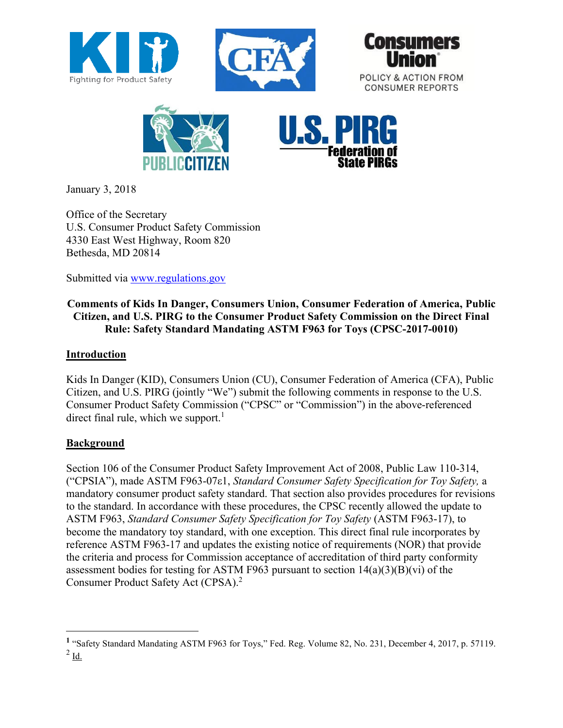









January 3, 2018

Office of the Secretary U.S. Consumer Product Safety Commission 4330 East West Highway, Room 820 Bethesda, MD 20814

Submitted via [www.regulations.gov](http://www.regulations.gov/)

# **Comments of Kids In Danger, Consumers Union, Consumer Federation of America, Public Citizen, and U.S. PIRG to the Consumer Product Safety Commission on the Direct Final Rule: Safety Standard Mandating ASTM F963 for Toys (CPSC-2017-0010)**

# **Introduction**

Kids In Danger (KID), Consumers Union (CU), Consumer Federation of America (CFA), Public Citizen, and U.S. PIRG (jointly "We") submit the following comments in response to the U.S. Consumer Product Safety Commission ("CPSC" or "Commission") in the above-referenced direct final rule, which we support. $<sup>1</sup>$ </sup>

## **Background**

 $\overline{a}$ 

Section 106 of the Consumer Product Safety Improvement Act of 2008, Public Law 110-314, ("CPSIA"), made ASTM F963-07ε1, *Standard Consumer Safety Specification for Toy Safety,* a mandatory consumer product safety standard. That section also provides procedures for revisions to the standard. In accordance with these procedures, the CPSC recently allowed the update to ASTM F963, *Standard Consumer Safety Specification for Toy Safety* (ASTM F963-17), to become the mandatory toy standard, with one exception. This direct final rule incorporates by reference ASTM F963-17 and updates the existing notice of requirements (NOR) that provide the criteria and process for Commission acceptance of accreditation of third party conformity assessment bodies for testing for ASTM F963 pursuant to section 14(a)(3)(B)(vi) of the Consumer Product Safety Act (CPSA).<sup>2</sup>

**<sup>1</sup>** "Safety Standard Mandating ASTM F963 for Toys," Fed. Reg. Volume 82, No. 231, December 4, 2017, p. 57119.  $^{2}$  Id.